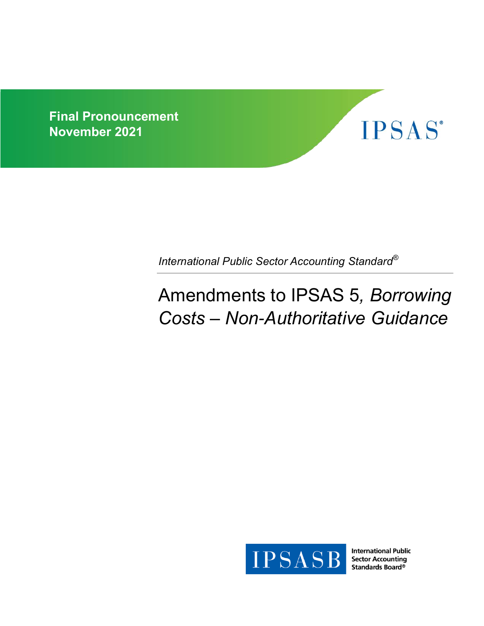



*International Public Sector Accounting Standard®*

# Amendments to IPSAS 5*, Borrowing Costs – Non-Authoritative Guidance*



**International Public Sector Accounting** Standards Board®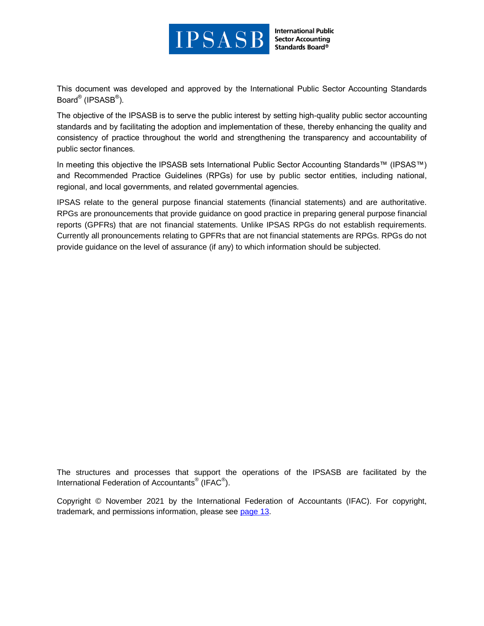

**International Public Sector Accounting** Standards Board®

This document was developed and approved by the International Public Sector Accounting Standards Board® (IPSASB<sup>®</sup>).

The objective of the IPSASB is to serve the public interest by setting high-quality public sector accounting standards and by facilitating the adoption and implementation of these, thereby enhancing the quality and consistency of practice throughout the world and strengthening the transparency and accountability of public sector finances.

In meeting this objective the IPSASB sets International Public Sector Accounting Standards™ (IPSAS™) and Recommended Practice Guidelines (RPGs) for use by public sector entities, including national, regional, and local governments, and related governmental agencies.

IPSAS relate to the general purpose financial statements (financial statements) and are authoritative. RPGs are pronouncements that provide guidance on good practice in preparing general purpose financial reports (GPFRs) that are not financial statements. Unlike IPSAS RPGs do not establish requirements. Currently all pronouncements relating to GPFRs that are not financial statements are RPGs. RPGs do not provide guidance on the level of assurance (if any) to which information should be subjected.

The structures and processes that support the operations of the IPSASB are facilitated by the International Federation of Accountants<sup>®</sup> (IFAC<sup>®</sup>).

Copyright © November 2021 by the International Federation of Accountants (IFAC). For copyright, trademark, and permissions information, please see [page 13.](#page-12-0)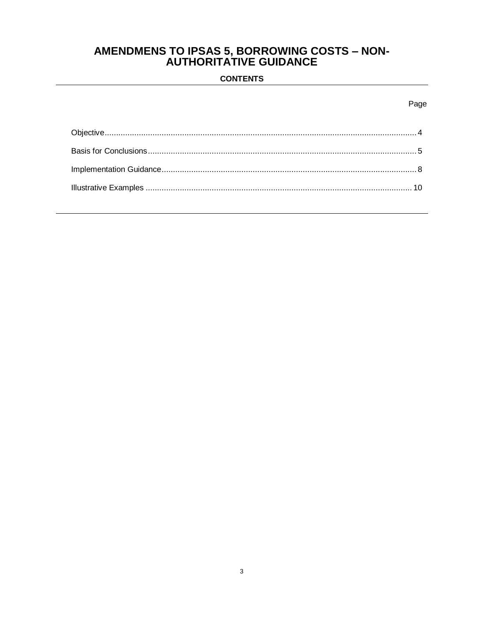# **AMENDMENS TO IPSAS 5, BORROWING COSTS – NON-<br>AUTHORITATIVE GUIDANCE**

# **CONTENTS**

# Page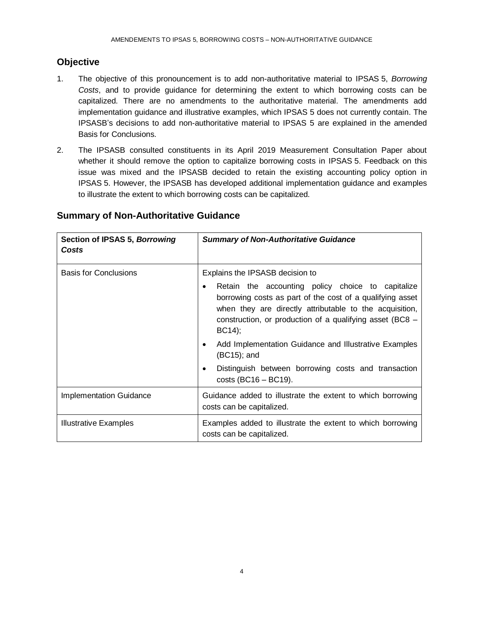# <span id="page-3-0"></span>**Objective**

- 1. The objective of this pronouncement is to add non-authoritative material to IPSAS 5, *Borrowing Costs*, and to provide guidance for determining the extent to which borrowing costs can be capitalized. There are no amendments to the authoritative material. The amendments add implementation guidance and illustrative examples, which IPSAS 5 does not currently contain. The IPSASB's decisions to add non-authoritative material to IPSAS 5 are explained in the amended Basis for Conclusions.
- 2. The IPSASB consulted constituents in its April 2019 Measurement Consultation Paper about whether it should remove the option to capitalize borrowing costs in IPSAS 5. Feedback on this issue was mixed and the IPSASB decided to retain the existing accounting policy option in IPSAS 5. However, the IPSASB has developed additional implementation guidance and examples to illustrate the extent to which borrowing costs can be capitalized.

| Section of IPSAS 5, Borrowing<br>Costs | <b>Summary of Non-Authoritative Guidance</b>                                                                                                                                                                                                         |  |  |  |
|----------------------------------------|------------------------------------------------------------------------------------------------------------------------------------------------------------------------------------------------------------------------------------------------------|--|--|--|
| <b>Basis for Conclusions</b>           | Explains the IPSASB decision to                                                                                                                                                                                                                      |  |  |  |
|                                        | Retain the accounting policy choice to capitalize<br>٠<br>borrowing costs as part of the cost of a qualifying asset<br>when they are directly attributable to the acquisition,<br>construction, or production of a qualifying asset (BC8 –<br>BC14); |  |  |  |
|                                        | Add Implementation Guidance and Illustrative Examples<br>٠<br>(BC15); and                                                                                                                                                                            |  |  |  |
|                                        | Distinguish between borrowing costs and transaction<br>٠<br>$costs$ (BC16 – BC19).                                                                                                                                                                   |  |  |  |
| <b>Implementation Guidance</b>         | Guidance added to illustrate the extent to which borrowing<br>costs can be capitalized.                                                                                                                                                              |  |  |  |
| <b>Illustrative Examples</b>           | Examples added to illustrate the extent to which borrowing<br>costs can be capitalized.                                                                                                                                                              |  |  |  |

# **Summary of Non-Authoritative Guidance**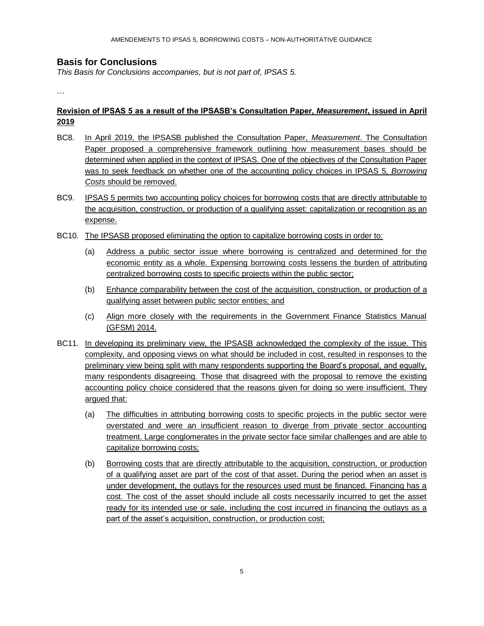# <span id="page-4-0"></span>**Basis for Conclusions**

*This Basis for Conclusions accompanies, but is not part of, IPSAS 5.*

…

#### **Revision of IPSAS 5 as a result of the IPSASB's Consultation Paper,** *Measurement***, issued in April 2019**

- BC8. In April 2019, the IPSASB published the Consultation Paper, *Measurement*. The Consultation Paper proposed a comprehensive framework outlining how measurement bases should be determined when applied in the context of IPSAS. One of the objectives of the Consultation Paper was to seek feedback on whether one of the accounting policy choices in IPSAS 5, *Borrowing Costs* should be removed.
- BC9. IPSAS 5 permits two accounting policy choices for borrowing costs that are directly attributable to the acquisition, construction, or production of a qualifying asset: capitalization or recognition as an expense.
- BC10. The IPSASB proposed eliminating the option to capitalize borrowing costs in order to:
	- (a) Address a public sector issue where borrowing is centralized and determined for the economic entity as a whole. Expensing borrowing costs lessens the burden of attributing centralized borrowing costs to specific projects within the public sector;
	- (b) Enhance comparability between the cost of the acquisition, construction, or production of a qualifying asset between public sector entities; and
	- (c) Align more closely with the requirements in the Government Finance Statistics Manual (GFSM) 2014.
- BC11. In developing its preliminary view, the IPSASB acknowledged the complexity of the issue. This complexity, and opposing views on what should be included in cost, resulted in responses to the preliminary view being split with many respondents supporting the Board's proposal, and equally, many respondents disagreeing. Those that disagreed with the proposal to remove the existing accounting policy choice considered that the reasons given for doing so were insufficient. They argued that:
	- (a) The difficulties in attributing borrowing costs to specific projects in the public sector were overstated and were an insufficient reason to diverge from private sector accounting treatment. Large conglomerates in the private sector face similar challenges and are able to capitalize borrowing costs;
	- (b) Borrowing costs that are directly attributable to the acquisition, construction, or production of a qualifying asset are part of the cost of that asset. During the period when an asset is under development, the outlays for the resources used must be financed. Financing has a cost. The cost of the asset should include all costs necessarily incurred to get the asset ready for its intended use or sale, including the cost incurred in financing the outlays as a part of the asset's acquisition, construction, or production cost;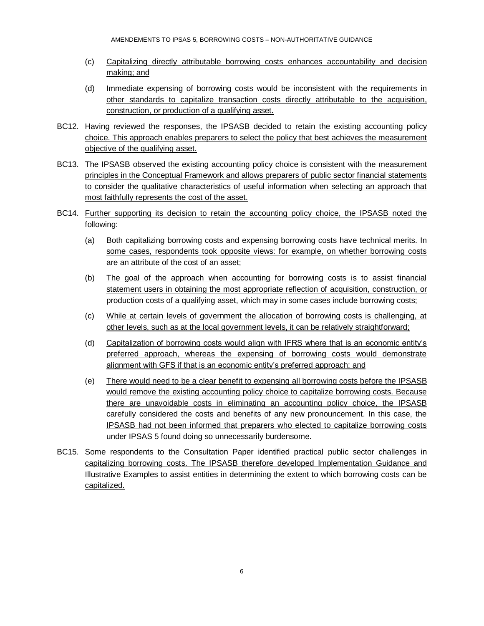- (c) Capitalizing directly attributable borrowing costs enhances accountability and decision making; and
- (d) Immediate expensing of borrowing costs would be inconsistent with the requirements in other standards to capitalize transaction costs directly attributable to the acquisition, construction, or production of a qualifying asset.
- BC12. Having reviewed the responses, the IPSASB decided to retain the existing accounting policy choice. This approach enables preparers to select the policy that best achieves the measurement objective of the qualifying asset.
- BC13. The IPSASB observed the existing accounting policy choice is consistent with the measurement principles in the Conceptual Framework and allows preparers of public sector financial statements to consider the qualitative characteristics of useful information when selecting an approach that most faithfully represents the cost of the asset.
- BC14. Further supporting its decision to retain the accounting policy choice, the IPSASB noted the following:
	- (a) Both capitalizing borrowing costs and expensing borrowing costs have technical merits. In some cases, respondents took opposite views: for example, on whether borrowing costs are an attribute of the cost of an asset;
	- (b) The goal of the approach when accounting for borrowing costs is to assist financial statement users in obtaining the most appropriate reflection of acquisition, construction, or production costs of a qualifying asset, which may in some cases include borrowing costs;
	- (c) While at certain levels of government the allocation of borrowing costs is challenging, at other levels, such as at the local government levels, it can be relatively straightforward;
	- (d) Capitalization of borrowing costs would align with IFRS where that is an economic entity's preferred approach, whereas the expensing of borrowing costs would demonstrate alignment with GFS if that is an economic entity's preferred approach; and
	- (e) There would need to be a clear benefit to expensing all borrowing costs before the IPSASB would remove the existing accounting policy choice to capitalize borrowing costs. Because there are unavoidable costs in eliminating an accounting policy choice, the IPSASB carefully considered the costs and benefits of any new pronouncement. In this case, the IPSASB had not been informed that preparers who elected to capitalize borrowing costs under IPSAS 5 found doing so unnecessarily burdensome.
- BC15. Some respondents to the Consultation Paper identified practical public sector challenges in capitalizing borrowing costs. The IPSASB therefore developed Implementation Guidance and Illustrative Examples to assist entities in determining the extent to which borrowing costs can be capitalized.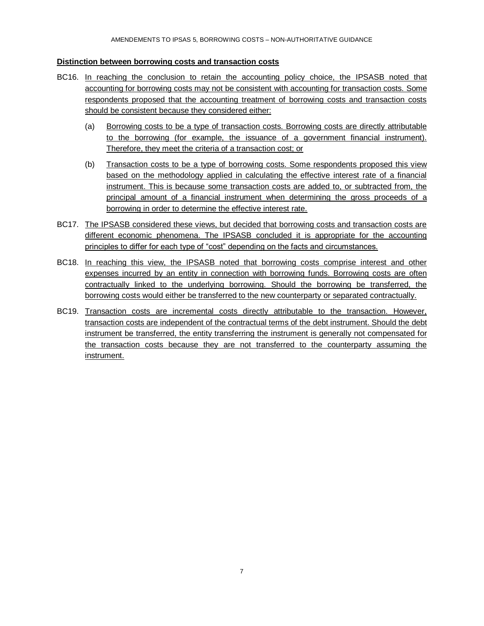#### **Distinction between borrowing costs and transaction costs**

- BC16. In reaching the conclusion to retain the accounting policy choice, the IPSASB noted that accounting for borrowing costs may not be consistent with accounting for transaction costs. Some respondents proposed that the accounting treatment of borrowing costs and transaction costs should be consistent because they considered either:
	- (a) Borrowing costs to be a type of transaction costs. Borrowing costs are directly attributable to the borrowing (for example, the issuance of a government financial instrument). Therefore, they meet the criteria of a transaction cost; or
	- (b) Transaction costs to be a type of borrowing costs. Some respondents proposed this view based on the methodology applied in calculating the effective interest rate of a financial instrument. This is because some transaction costs are added to, or subtracted from, the principal amount of a financial instrument when determining the gross proceeds of a borrowing in order to determine the effective interest rate.
- BC17. The IPSASB considered these views, but decided that borrowing costs and transaction costs are different economic phenomena. The IPSASB concluded it is appropriate for the accounting principles to differ for each type of "cost" depending on the facts and circumstances.
- BC18. In reaching this view, the IPSASB noted that borrowing costs comprise interest and other expenses incurred by an entity in connection with borrowing funds. Borrowing costs are often contractually linked to the underlying borrowing. Should the borrowing be transferred, the borrowing costs would either be transferred to the new counterparty or separated contractually.
- BC19. Transaction costs are incremental costs directly attributable to the transaction. However, transaction costs are independent of the contractual terms of the debt instrument. Should the debt instrument be transferred, the entity transferring the instrument is generally not compensated for the transaction costs because they are not transferred to the counterparty assuming the instrument.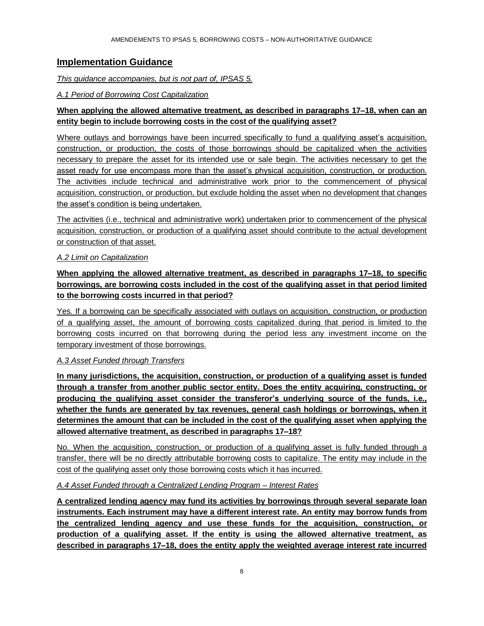# <span id="page-7-0"></span>**Implementation Guidance**

#### *This guidance accompanies, but is not part of, IPSAS 5.*

#### *A.1 Period of Borrowing Cost Capitalization*

# **When applying the allowed alternative treatment, as described in paragraphs 17–18, when can an entity begin to include borrowing costs in the cost of the qualifying asset?**

Where outlays and borrowings have been incurred specifically to fund a qualifying asset's acquisition, construction, or production, the costs of those borrowings should be capitalized when the activities necessary to prepare the asset for its intended use or sale begin. The activities necessary to get the asset ready for use encompass more than the asset's physical acquisition, construction, or production. The activities include technical and administrative work prior to the commencement of physical acquisition, construction, or production, but exclude holding the asset when no development that changes the asset's condition is being undertaken.

The activities (i.e., technical and administrative work) undertaken prior to commencement of the physical acquisition, construction, or production of a qualifying asset should contribute to the actual development or construction of that asset.

#### *A.2 Limit on Capitalization*

# **When applying the allowed alternative treatment, as described in paragraphs 17–18, to specific borrowings, are borrowing costs included in the cost of the qualifying asset in that period limited to the borrowing costs incurred in that period?**

Yes. If a borrowing can be specifically associated with outlays on acquisition, construction, or production of a qualifying asset, the amount of borrowing costs capitalized during that period is limited to the borrowing costs incurred on that borrowing during the period less any investment income on the temporary investment of those borrowings.

#### *A.3 Asset Funded through Transfers*

**In many jurisdictions, the acquisition, construction, or production of a qualifying asset is funded through a transfer from another public sector entity. Does the entity acquiring, constructing, or producing the qualifying asset consider the transferor's underlying source of the funds, i.e., whether the funds are generated by tax revenues, general cash holdings or borrowings, when it determines the amount that can be included in the cost of the qualifying asset when applying the allowed alternative treatment, as described in paragraphs 17–18?**

No. When the acquisition, construction, or production of a qualifying asset is fully funded through a transfer, there will be no directly attributable borrowing costs to capitalize. The entity may include in the cost of the qualifying asset only those borrowing costs which it has incurred.

#### *A.4 Asset Funded through a Centralized Lending Program – Interest Rates*

**A centralized lending agency may fund its activities by borrowings through several separate loan instruments. Each instrument may have a different interest rate. An entity may borrow funds from the centralized lending agency and use these funds for the acquisition, construction, or production of a qualifying asset. If the entity is using the allowed alternative treatment, as described in paragraphs 17–18, does the entity apply the weighted average interest rate incurred**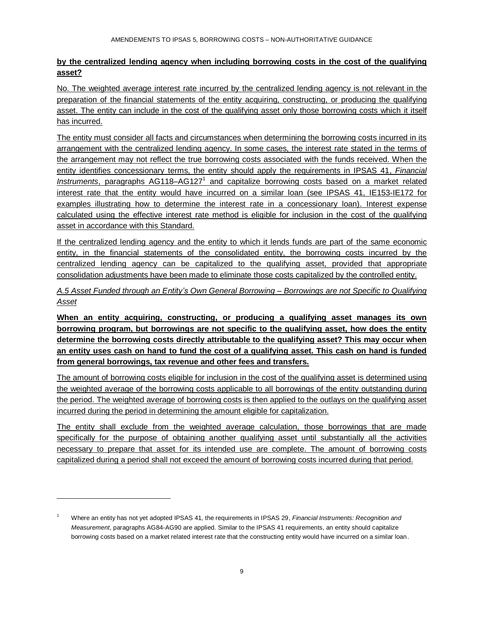#### **by the centralized lending agency when including borrowing costs in the cost of the qualifying asset?**

No. The weighted average interest rate incurred by the centralized lending agency is not relevant in the preparation of the financial statements of the entity acquiring, constructing, or producing the qualifying asset. The entity can include in the cost of the qualifying asset only those borrowing costs which it itself has incurred.

The entity must consider all facts and circumstances when determining the borrowing costs incurred in its arrangement with the centralized lending agency. In some cases, the interest rate stated in the terms of the arrangement may not reflect the true borrowing costs associated with the funds received. When the entity identifies concessionary terms, the entity should apply the requirements in IPSAS 41, *Financial*  Instruments, paragraphs AG118-AG127<sup>1</sup> and capitalize borrowing costs based on a market related interest rate that the entity would have incurred on a similar loan (see IPSAS 41, IE153-IE172 for examples illustrating how to determine the interest rate in a concessionary loan). Interest expense calculated using the effective interest rate method is eligible for inclusion in the cost of the qualifying asset in accordance with this Standard.

If the centralized lending agency and the entity to which it lends funds are part of the same economic entity, in the financial statements of the consolidated entity, the borrowing costs incurred by the centralized lending agency can be capitalized to the qualifying asset, provided that appropriate consolidation adjustments have been made to eliminate those costs capitalized by the controlled entity.

*A.5 Asset Funded through an Entity's Own General Borrowing – Borrowings are not Specific to Qualifying Asset* 

**When an entity acquiring, constructing, or producing a qualifying asset manages its own borrowing program, but borrowings are not specific to the qualifying asset, how does the entity determine the borrowing costs directly attributable to the qualifying asset? This may occur when an entity uses cash on hand to fund the cost of a qualifying asset. This cash on hand is funded from general borrowings, tax revenue and other fees and transfers.** 

The amount of borrowing costs eligible for inclusion in the cost of the qualifying asset is determined using the weighted average of the borrowing costs applicable to all borrowings of the entity outstanding during the period. The weighted average of borrowing costs is then applied to the outlays on the qualifying asset incurred during the period in determining the amount eligible for capitalization.

The entity shall exclude from the weighted average calculation, those borrowings that are made specifically for the purpose of obtaining another qualifying asset until substantially all the activities necessary to prepare that asset for its intended use are complete. The amount of borrowing costs capitalized during a period shall not exceed the amount of borrowing costs incurred during that period.

l

<sup>1</sup> Where an entity has not yet adopted IPSAS 41, the requirements in IPSAS 29, *Financial Instruments: Recognition and Measurement*, paragraphs AG84-AG90 are applied. Similar to the IPSAS 41 requirements, an entity should capitalize borrowing costs based on a market related interest rate that the constructing entity would have incurred on a similar loan.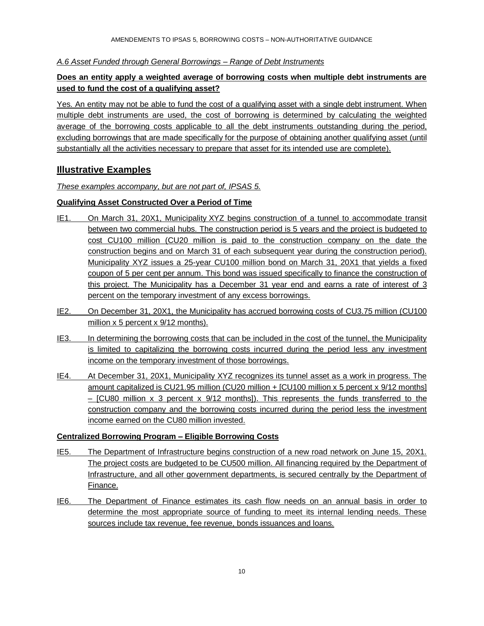*A.6 Asset Funded through General Borrowings – Range of Debt Instruments*

### **Does an entity apply a weighted average of borrowing costs when multiple debt instruments are used to fund the cost of a qualifying asset?**

Yes. An entity may not be able to fund the cost of a qualifying asset with a single debt instrument. When multiple debt instruments are used, the cost of borrowing is determined by calculating the weighted average of the borrowing costs applicable to all the debt instruments outstanding during the period, excluding borrowings that are made specifically for the purpose of obtaining another qualifying asset (until substantially all the activities necessary to prepare that asset for its intended use are complete).

# <span id="page-9-0"></span>**Illustrative Examples**

*These examples accompany, but are not part of, IPSAS 5.*

#### **Qualifying Asset Constructed Over a Period of Time**

- IE1. On March 31, 20X1, Municipality XYZ begins construction of a tunnel to accommodate transit between two commercial hubs. The construction period is 5 years and the project is budgeted to cost CU100 million (CU20 million is paid to the construction company on the date the construction begins and on March 31 of each subsequent year during the construction period). Municipality XYZ issues a 25-year CU100 million bond on March 31, 20X1 that yields a fixed coupon of 5 per cent per annum. This bond was issued specifically to finance the construction of this project. The Municipality has a December 31 year end and earns a rate of interest of 3 percent on the temporary investment of any excess borrowings.
- IE2. On December 31, 20X1, the Municipality has accrued borrowing costs of CU3.75 million (CU100 million x 5 percent x 9/12 months).
- IE3. In determining the borrowing costs that can be included in the cost of the tunnel, the Municipality is limited to capitalizing the borrowing costs incurred during the period less any investment income on the temporary investment of those borrowings.
- IE4. At December 31, 20X1, Municipality XYZ recognizes its tunnel asset as a work in progress. The amount capitalized is CU21.95 million (CU20 million + [CU100 million x 5 percent x 9/12 months] – [CU80 million x 3 percent x 9/12 months]). This represents the funds transferred to the construction company and the borrowing costs incurred during the period less the investment income earned on the CU80 million invested.

#### **Centralized Borrowing Program – Eligible Borrowing Costs**

- IE5. The Department of Infrastructure begins construction of a new road network on June 15, 20X1. The project costs are budgeted to be CU500 million. All financing required by the Department of Infrastructure, and all other government departments, is secured centrally by the Department of Finance.
- IE6. The Department of Finance estimates its cash flow needs on an annual basis in order to determine the most appropriate source of funding to meet its internal lending needs. These sources include tax revenue, fee revenue, bonds issuances and loans.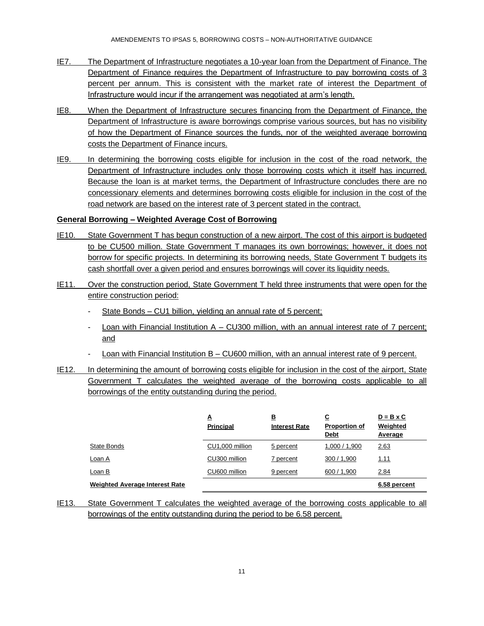- IE7. The Department of Infrastructure negotiates a 10-year loan from the Department of Finance. The Department of Finance requires the Department of Infrastructure to pay borrowing costs of 3 percent per annum. This is consistent with the market rate of interest the Department of Infrastructure would incur if the arrangement was negotiated at arm's length.
- IE8. When the Department of Infrastructure secures financing from the Department of Finance, the Department of Infrastructure is aware borrowings comprise various sources, but has no visibility of how the Department of Finance sources the funds, nor of the weighted average borrowing costs the Department of Finance incurs.
- IE9. In determining the borrowing costs eligible for inclusion in the cost of the road network, the Department of Infrastructure includes only those borrowing costs which it itself has incurred. Because the loan is at market terms, the Department of Infrastructure concludes there are no concessionary elements and determines borrowing costs eligible for inclusion in the cost of the road network are based on the interest rate of 3 percent stated in the contract.

#### **General Borrowing – Weighted Average Cost of Borrowing**

- IE10. State Government T has begun construction of a new airport. The cost of this airport is budgeted to be CU500 million. State Government T manages its own borrowings; however, it does not borrow for specific projects. In determining its borrowing needs, State Government T budgets its cash shortfall over a given period and ensures borrowings will cover its liquidity needs.
- IE11. Over the construction period, State Government T held three instruments that were open for the entire construction period:
	- State Bonds CU1 billion, yielding an annual rate of 5 percent;
	- Loan with Financial Institution A CU300 million, with an annual interest rate of 7 percent; and
	- Loan with Financial Institution B CU600 million, with an annual interest rate of 9 percent.
- IE12. In determining the amount of borrowing costs eligible for inclusion in the cost of the airport, State Government T calculates the weighted average of the borrowing costs applicable to all borrowings of the entity outstanding during the period.

|                                | <u>A</u><br><b>Principal</b> | <u>B</u><br><b>Interest Rate</b> | $\overline{\mathbf{c}}$<br><b>Proportion of</b><br><b>Debt</b> | $D = B \times C$<br>Weighted<br>Average |
|--------------------------------|------------------------------|----------------------------------|----------------------------------------------------------------|-----------------------------------------|
| State Bonds                    | CU1,000 million              | 5 percent                        | 1,000 / 1,900                                                  | 2.63                                    |
| <u>Loan A</u>                  | CU300 million                | 7 percent                        | 300 / 1,900                                                    | <u>1.11</u>                             |
| Loan B                         | CU600 million                | 9 percent                        | 600 / 1,900                                                    | 2.84                                    |
| Weighted Average Interest Rate |                              |                                  |                                                                | 6.58 percent                            |

IE13. State Government T calculates the weighted average of the borrowing costs applicable to all borrowings of the entity outstanding during the period to be 6.58 percent.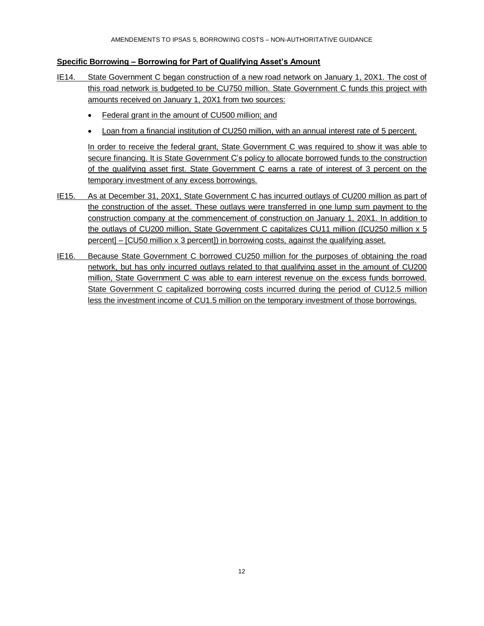#### **Specific Borrowing – Borrowing for Part of Qualifying Asset's Amount**

- IE14. State Government C began construction of a new road network on January 1, 20X1. The cost of this road network is budgeted to be CU750 million. State Government C funds this project with amounts received on January 1, 20X1 from two sources:
	- Federal grant in the amount of CU500 million; and
	- Loan from a financial institution of CU250 million, with an annual interest rate of 5 percent.

In order to receive the federal grant, State Government C was required to show it was able to secure financing. It is State Government C's policy to allocate borrowed funds to the construction of the qualifying asset first. State Government C earns a rate of interest of 3 percent on the temporary investment of any excess borrowings.

- IE15. As at December 31, 20X1, State Government C has incurred outlays of CU200 million as part of the construction of the asset. These outlays were transferred in one lump sum payment to the construction company at the commencement of construction on January 1, 20X1. In addition to the outlays of CU200 million, State Government C capitalizes CU11 million ([CU250 million x 5 percent] – [CU50 million x 3 percent]) in borrowing costs, against the qualifying asset.
- IE16. Because State Government C borrowed CU250 million for the purposes of obtaining the road network, but has only incurred outlays related to that qualifying asset in the amount of CU200 million, State Government C was able to earn interest revenue on the excess funds borrowed. State Government C capitalized borrowing costs incurred during the period of CU12.5 million less the investment income of CU1.5 million on the temporary investment of those borrowings.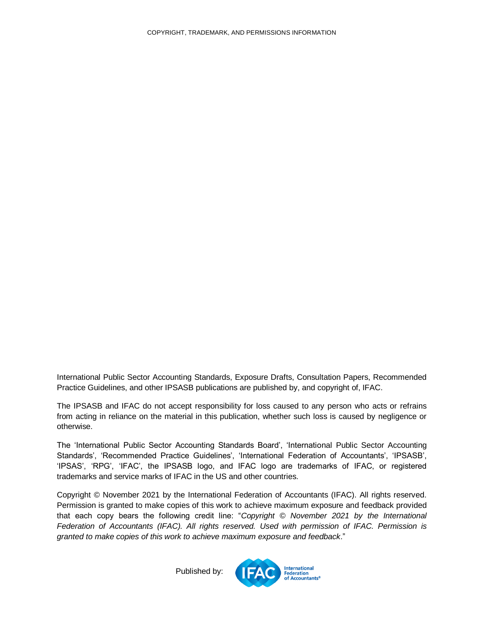<span id="page-12-0"></span>International Public Sector Accounting Standards, Exposure Drafts, Consultation Papers, Recommended Practice Guidelines, and other IPSASB publications are published by, and copyright of, IFAC.

The IPSASB and IFAC do not accept responsibility for loss caused to any person who acts or refrains from acting in reliance on the material in this publication, whether such loss is caused by negligence or otherwise.

The 'International Public Sector Accounting Standards Board', 'International Public Sector Accounting Standards', 'Recommended Practice Guidelines', 'International Federation of Accountants', 'IPSASB', 'IPSAS', 'RPG', 'IFAC', the IPSASB logo, and IFAC logo are trademarks of IFAC, or registered trademarks and service marks of IFAC in the US and other countries.

Copyright © November 2021 by the International Federation of Accountants (IFAC). All rights reserved. Permission is granted to make copies of this work to achieve maximum exposure and feedback provided that each copy bears the following credit line: "*Copyright © November 2021 by the International Federation of Accountants (IFAC). All rights reserved. Used with permission of IFAC. Permission is granted to make copies of this work to achieve maximum exposure and feedback*."

Published by: